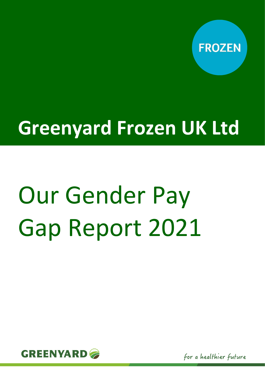

# **Greenyard Frozen UK Ltd**

# Our Gender Pay Gap Report 2021

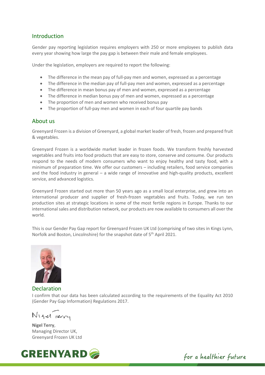#### Introduction

Gender pay reporting legislation requires employers with 250 or more employees to publish data every year showing how large the pay gap is between their male and female employees.

Under the legislation, employers are required to report the following:

- The difference in the mean pay of full-pay men and women, expressed as a percentage
- The difference in the median pay of full-pay men and women, expressed as a percentage
- The difference in mean bonus pay of men and women, expressed as a percentage
- The difference in median bonus pay of men and women, expressed as a percentage
- The proportion of men and women who received bonus pay
- The proportion of full-pay men and women in each of four quartile pay bands

#### About us

Greenyard Frozen is a division of Greenyard, a global market leader of fresh, frozen and prepared fruit & vegetables.

Greenyard Frozen is a worldwide market leader in frozen foods. We transform freshly harvested vegetables and fruits into food products that are easy to store, conserve and consume. Our products respond to the needs of modern consumers who want to enjoy healthy and tasty food, with a minimum of preparation time. We offer our customers – including retailers, food service companies and the food industry in general – a wide range of innovative and high-quality products, excellent service, and advanced logistics.

Greenyard Frozen started out more than 50 years ago as a small local enterprise, and grew into an international producer and supplier of fresh-frozen vegetables and fruits. Today, we run ten production sites at strategic locations in some of the most fertile regions in Europe. Thanks to our international sales and distribution network, our products are now available to consumers all over the world.

This is our Gender Pay Gap report for Greenyard Frozen UK Ltd (comprising of two sites in Kings Lynn, Norfolk and Boston, Lincolnshire) for the snapshot date of 5<sup>th</sup> April 2021.



Declaration

I confirm that our data has been calculated according to the requirements of the Equality Act 2010 (Gender Pay Gap Information) Regulations 2017.

Nigel verry

**Nigel Terry**, Managing Director UK, Greenyard Frozen UK Ltd



for a healthier future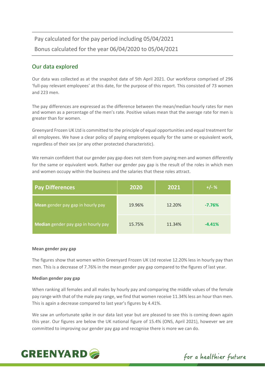### Pay calculated for the pay period including 05/04/2021 Bonus calculated for the year 06/04/2020 to 05/04/2021

#### Our data explored

Our data was collected as at the snapshot date of 5th April 2021. Our workforce comprised of 296 'full-pay relevant employees' at this date, for the purpose of this report. This consisted of 73 women and 223 men.

The pay differences are expressed as the difference between the mean/median hourly rates for men and women as a percentage of the men's rate. Positive values mean that the average rate for men is greater than for women.

Greenyard Frozen UK Ltd is committed to the principle of equal opportunities and equal treatment for all employees. We have a clear policy of paying employees equally for the same or equivalent work, regardless of their sex (or any other protected characteristic).

We remain confident that our gender pay gap does not stem from paying men and women differently for the same or equivalent work. Rather our gender pay gap is the result of the roles in which men and women occupy within the business and the salaries that these roles attract.

| <b>Pay Differences</b>              | 2020   | 2021   | $+/- %$  |
|-------------------------------------|--------|--------|----------|
| Mean gender pay gap in hourly pay   | 19.96% | 12.20% | $-7.76%$ |
| Median gender pay gap in hourly pay | 15.75% | 11.34% | $-4.41%$ |

#### **Mean gender pay gap**

The figures show that women within Greenyard Frozen UK Ltd receive 12.20% less in hourly pay than men. This is a decrease of 7.76% in the mean gender pay gap compared to the figures of last year.

#### **Median gender pay gap**

When ranking all females and all males by hourly pay and comparing the middle values of the female pay range with that of the male pay range, we find that women receive 11.34% less an hour than men. This is again a decrease compared to last year's figures by 4.41%.

We saw an unfortunate spike in our data last year but are pleased to see this is coming down again this year. Our figures are below the UK national figure of 15.4% (ONS, April 2021), however we are committed to improving our gender pay gap and recognise there is more we can do.



for a healthier future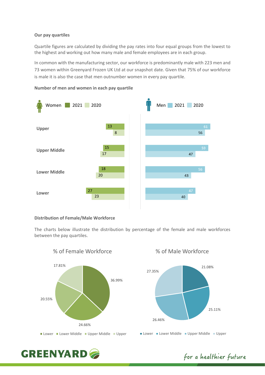#### **Our pay quartiles**

Quartile figures are calculated by dividing the pay rates into four equal groups from the lowest to the highest and working out how many male and female employees are in each group.

In common with the manufacturing sector, our workforce is predominantly male with 223 men and 73 women within Greenyard Frozen UK Ltd at our snapshot date. Given that 75% of our workforce is male it is also the case that men outnumber women in every pay quartile.



#### **Number of men and women in each pay quartile**

#### **Distribution of Female/Male Workforce**

The charts below illustrate the distribution by percentage of the female and male workforces between the pay quartiles.



% of Female Workforce

% of Male Workforce



## **GREENYARD**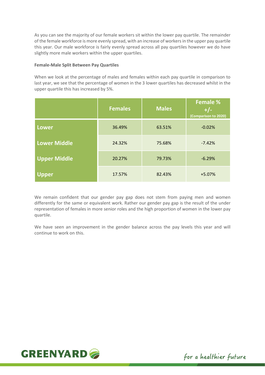As you can see the majority of our female workers sit within the lower pay quartile. The remainder of the female workforce is more evenly spread, with an increase of workers in the upper pay quartile this year. Our male workforce is fairly evenly spread across all pay quartiles however we do have slightly more male workers within the upper quartiles.

#### **Female-Male Split Between Pay Quartiles**

When we look at the percentage of males and females within each pay quartile in comparison to last year, we see that the percentage of women in the 3 lower quartiles has decreased whilst in the upper quartile this has increased by 5%.

|                     | <b>Females</b> | <b>Males</b> | <b>Female %</b><br>$+/-$<br>(Comparison to 2020) |
|---------------------|----------------|--------------|--------------------------------------------------|
| <b>Lower</b>        | 36.49%         | 63.51%       | $-0.02%$                                         |
| <b>Lower Middle</b> | 24.32%         | 75.68%       | $-7.42%$                                         |
| <b>Upper Middle</b> | 20.27%         | 79.73%       | $-6.29%$                                         |
| <b>Upper</b>        | 17.57%         | 82.43%       | $+5.07%$                                         |

We remain confident that our gender pay gap does not stem from paying men and women differently for the same or equivalent work. Rather our gender pay gap is the result of the under representation of females in more senior roles and the high proportion of women in the lower pay quartile.

We have seen an improvement in the gender balance across the pay levels this year and will continue to work on this.

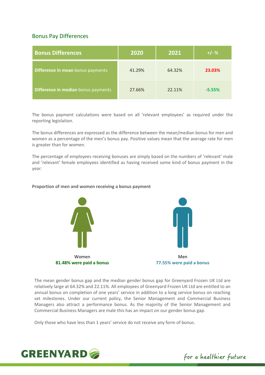#### Bonus Pay Differences

| <b>Bonus Differences</b>            | 2020   | 2021   | $+/- %$  |
|-------------------------------------|--------|--------|----------|
| Difference in mean bonus payments   | 41.29% | 64.32% | 23.03%   |
| Difference in median bonus payments | 27.66% | 22.11% | $-5.55%$ |

The bonus payment calculations were based on all 'relevant employees' as required under the reporting legislation.

The bonus differences are expressed as the difference between the mean/median bonus for men and women as a percentage of the men's bonus pay. Positive values mean that the average rate for men is greater than for women.

The percentage of employees receiving bonuses are simply based on the numbers of 'relevant' male and 'relevant' female employees identified as having received some kind of bonus payment in the year.

#### **Proportion of men and women receiving a bonus payment**





The mean gender bonus gap and the median gender bonus gap for Greenyard Frozen UK Ltd are relatively large at 64.32% and 22.11%. All employees of Greenyard Frozen UK Ltd are entitled to an annual bonus on completion of one years' service in addition to a long service bonus on reaching set milestones. Under our current policy, the Senior Management and Commercial Business Managers also attract a performance bonus. As the majority of the Senior Management and Commercial Business Managers are male this has an impact on our gender bonus gap.

Only those who have less than 1 years' service do not receive any form of bonus.